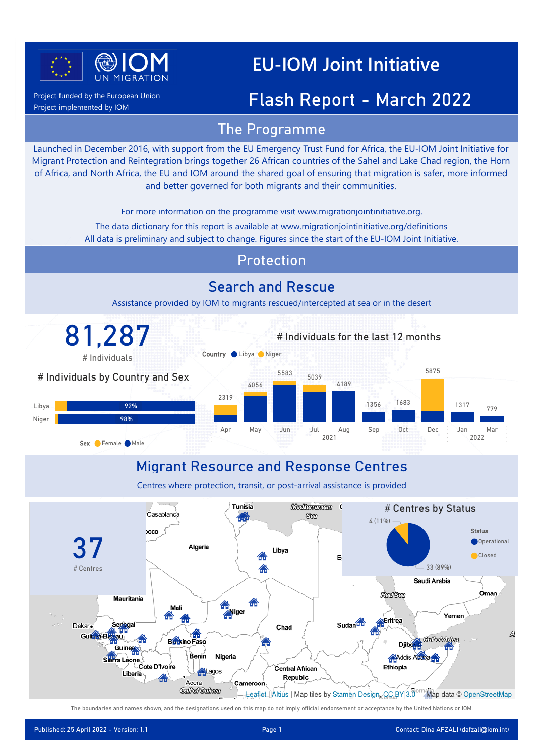

Project funded by the European Union

Project implemented by IOM

## **EU-IOM Joint Initiative**

### Flash Report - March 2022

### The Programme

Launched in December 2016, with support from the EU Emergency Trust Fund for Africa, the EU-IOM Joint Initiative for Migrant Protection and Reintegration brings together 26 African countries of the Sahel and Lake Chad region, the Horn of Africa, and North Africa, the EU and IOM around the shared goal of ensuring that migration is safer, more informed and better governed for both migrants and their communities.

For more information on the programme visit www.migrationjointinitiative.org.

All data is preliminary and subject to change. Figures since the start of the EU-IOM Joint Initiative. The data dictionary for this report is available at www.migrationjointinitiative.org/definitions

### Protection

### Search and Rescue

Assistance provided by IOM to migrants rescued/intercepted at sea or in the desert



### Migrant Resource and Response Centres

Centres where protection, transit, or post-arrival assistance is provided



The boundaries and names shown, and the designations used on this map do not imply official endorsement or acceptance by the United Nations or IOM.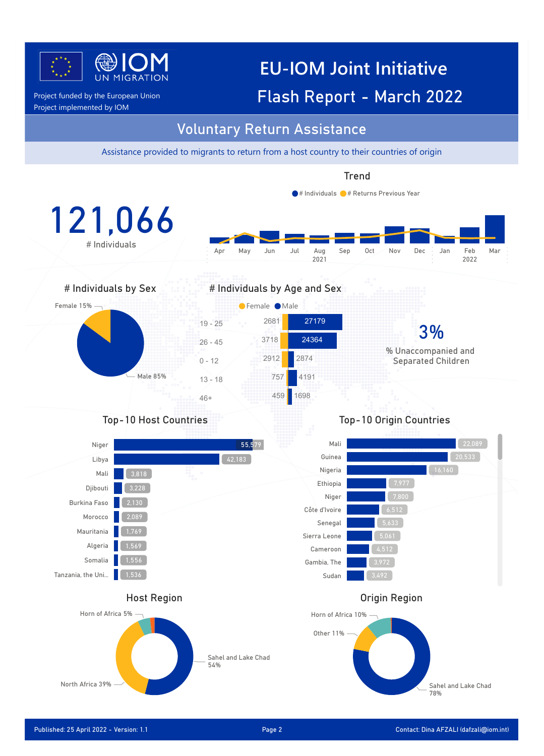

## **EU-IOM Joint Initiative** Project funded by the European Union **Flash Report - March 2022**

Project implemented by IOM

### Voluntary Return Assistance

Assistance provided to migrants to return from a host country to their countries of origin

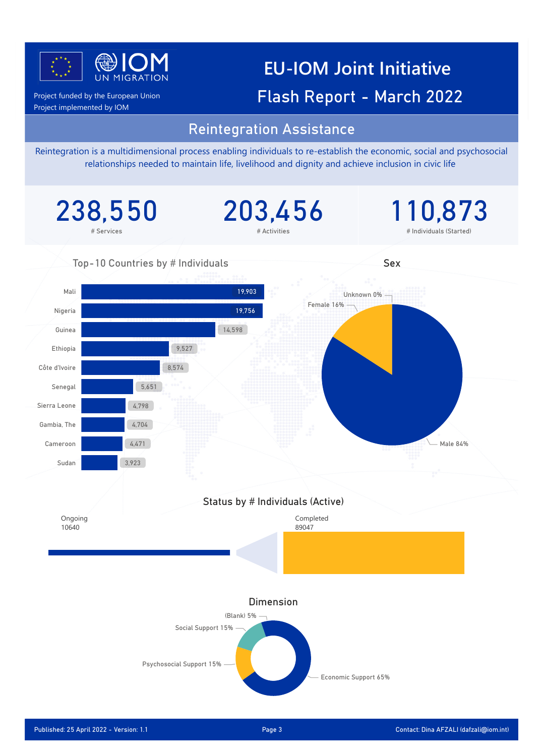

## **EU-IOM Joint Initiative** Project funded by the European Union **Flash Report - March 2022**

Project implemented by IOM

### Reintegration Assistance

Reintegration is a multidimensional process enabling individuals to re-establish the economic, social and psychosocial relationships needed to maintain life, livelihood and dignity and achieve inclusion in civic life

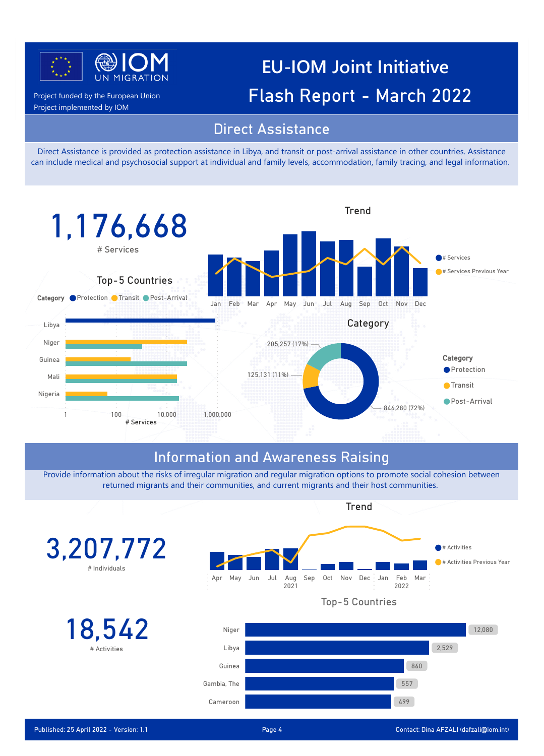

Project implemented by IOM

**EU-IOM Joint Initiative** Project funded by the European Union **Flash Report - March 2022** 

### Direct Assistance

Direct Assistance is provided as protection assistance in Libya, and transit or post-arrival assistance in other countries. Assistance can include medical and psychosocial support at individual and family levels, accommodation, family tracing, and legal information.



### Information and Awareness Raising

Provide information about the risks of irregular migration and regular migration options to promote social cohesion between returned migrants and their communities, and current migrants and their host communities.

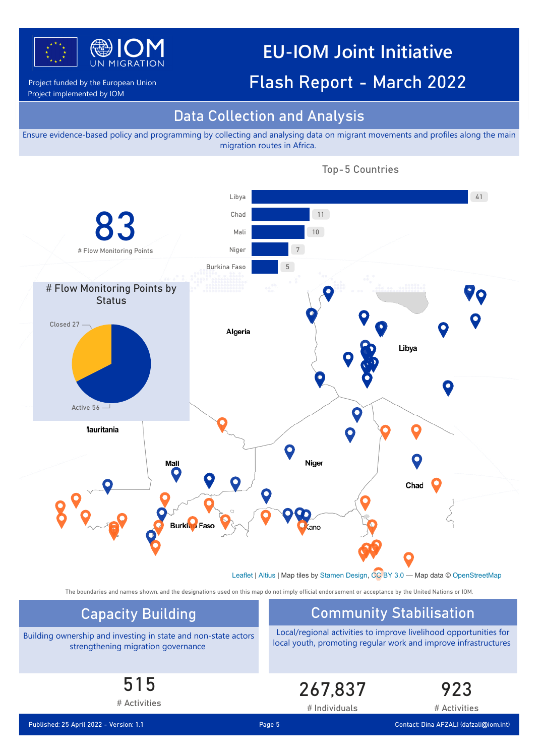

### **EU-IOM Joint Initiative**

### Project funded by the European Union **Flash Report - March 2022**

Project implemented by IOM

### Data Collection and Analysis

Power BI Desktop

Ensure evidence-based policy and programming by collecting and analysing data on migrant movements and profiles along the main migration routes in Africa.



Top-5 Countries

The boundaries and names shown, and the designations used on this map do not imply official endorsement or acceptance by the United Nations or IOM.

Building ownership and investing in state and non-state actors strengthening migration governance

### Capacity Building **Community Stabilisation**

Local/regional activities to improve livelihood opportunities for local youth, promoting regular work and improve infrastructures

515

# Activities

267,837

923

# Activities

# Individuals

Published: 25 April 2022 - Version: 1.1 Page 5 Contact: Dina AFZALI (dafzali@iom.int)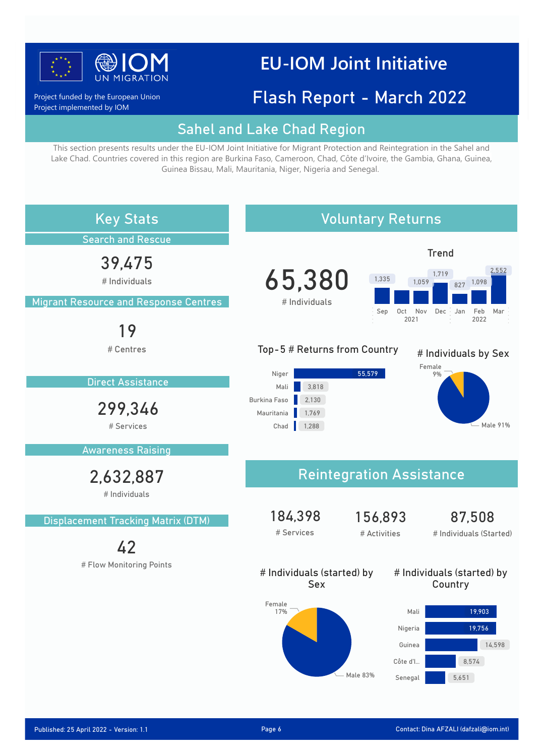

## **EU-IOM Joint Initiative**

### Flash Report - March 2022

Project funded by the European Union Project implemented by IOM

### Sahel and Lake Chad Region

This section presents results under the EU-IOM Joint Initiative for Migrant Protection and Reintegration in the Sahel and Lake Chad. Countries covered in this region are Burkina Faso, Cameroon, Chad, Côte d'Ivoire, the Gambia, Ghana, Guinea, Guinea Bissau, Mali, Mauritania, Niger, Nigeria and Senegal.

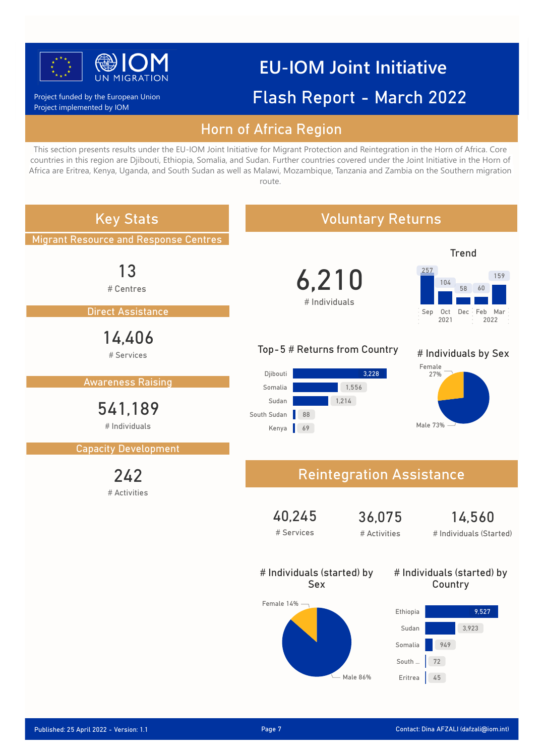

# **EU-IOM Joint Initiative** Flash Report - March 2022

Project funded by the European Union Project implemented by IOM

### Horn of Africa Region

This section presents results under the EU-IOM Joint Initiative for Migrant Protection and Reintegration in the Horn of Africa. Core countries in this region are Djibouti, Ethiopia, Somalia, and Sudan. Further countries covered under the Joint Initiative in the Horn of Africa are Eritrea, Kenya, Uganda, and South Sudan as well as Malawi, Mozambique, Tanzania and Zambia on the Southern migration route.

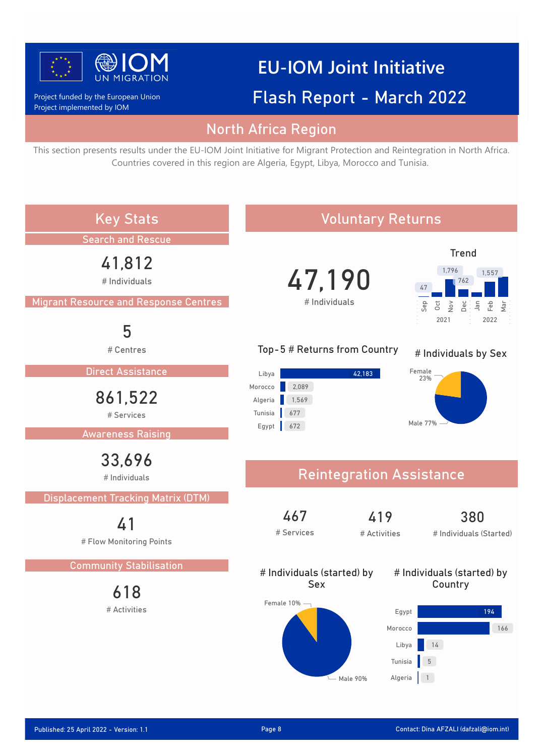

# **EU-IOM Joint Initiative**

### Project implemented by IOM Project funded by the European Union

## Flash Report - March 2022

### North Africa Region

This section presents results under the EU-IOM Joint Initiative for Migrant Protection and Reintegration in North Africa. Countries covered in this region are Algeria, Egypt, Libya, Morocco and Tunisia.